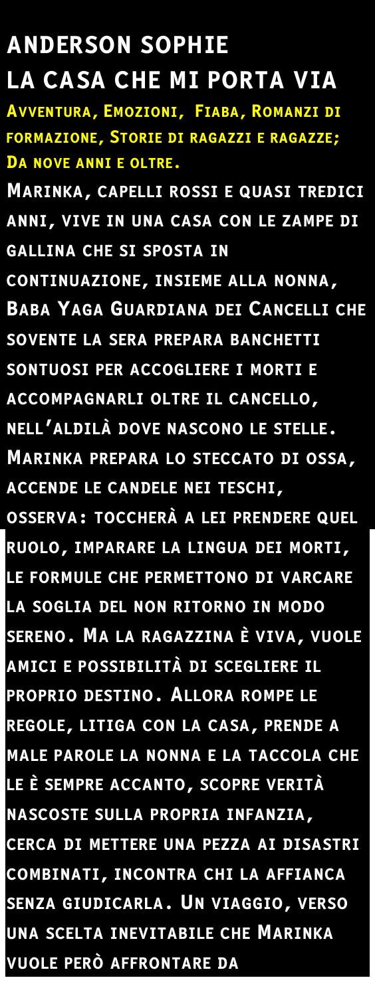## **ANDERSON SOPHIE** LA CASA CHE MI PORTA VIA AVVENTURA, EMOZIONI, FIABA, ROMANZI DI FORMAZIONE, STORIE DI RAGAZZI E RAGAZZE; DA NOVE ANNI E OLTRE. MARINKA, CAPELLI ROSSI E QUASI TREDICI ANNI, VIVE IN UNA CASA CON LE ZAMPE DI **GALLINA CHE SI SPOSTA IN** CONTINUAZIONE, INSIEME ALLA NONNA, **BABA YAGA GUARDIANA DEI CANCELLI CHE** SOVENTE LA SERA PREPARA BANCHETTI SONTUOSI PER ACCOGLIERE I MORTI E ACCOMPAGNARLI OLTRE IL CANCELLO, NELL'ALDILÀ DOVE NASCONO LE STELLE. MARINKA PREPARA LO STECCATO DI OSSA, ACCENDE LE CANDELE NEI TESCHI,

OSSERVA: TOCCHERÀ A LEI PRENDERE QUEL RUOLO, IMPARARE LA LINGUA DEI MORTI,

LE FORMULE CHE PERMETTONO DI VARCARE LA SOGLIA DEL NON RITORNO IN MODO SERENO. MA LA RAGAZZINA È VIVA, VUOLE AMICI E POSSIBILITÀ DI SCEGLIERE IL PROPRIO DESTINO. ALLORA ROMPE LE REGOLE, LITIGA CON LA CASA, PRENDE A MALE PAROLE LA NONNA E LA TACCOLA CHE LE È SEMPRE ACCANTO, SCOPRE VERITÀ NASCOSTE SULLA PROPRIA INFANZIA, CERCA DI METTERE UNA PEZZA AI DISASTRI COMBINATI, INCONTRA CHI LA AFFIANCA SENZA GIUDICARLA. UN VIAGGIO, VERSO UNA SCELTA INEVITABILE CHE MARINKA VUOLE PERÒ AFFRONTARE DA